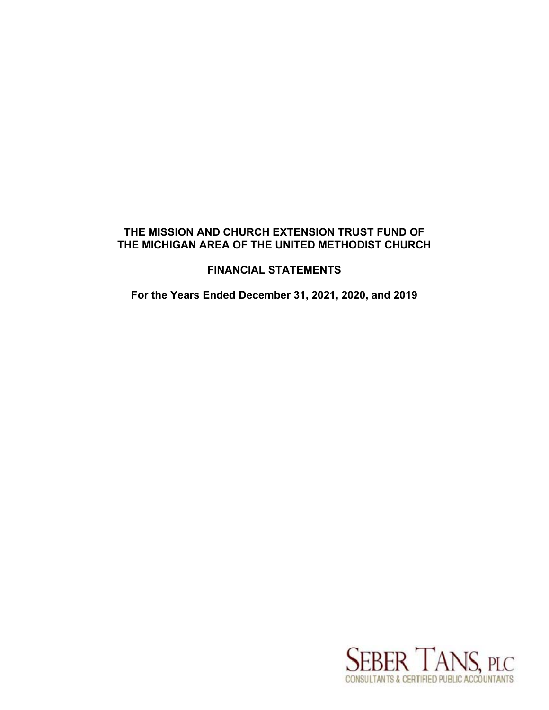# **THE MISSION AND CHURCH EXTENSION TRUST FUND OF THE MICHIGAN AREA OF THE UNITED METHODIST CHURCH**

# **FINANCIAL STATEMENTS**

**For the Years Ended December 31, 2021, 2020, and 2019** 

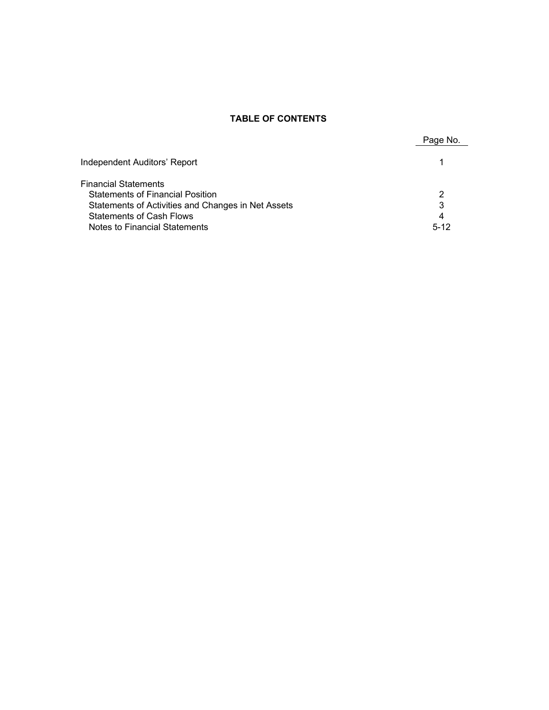# **TABLE OF CONTENTS**

|                                                                                       | Page No. |
|---------------------------------------------------------------------------------------|----------|
| Independent Auditors' Report                                                          |          |
| <b>Financial Statements</b>                                                           |          |
| <b>Statements of Financial Position</b>                                               | 2        |
| Statements of Activities and Changes in Net Assets<br><b>Statements of Cash Flows</b> | 3<br>4   |
| Notes to Financial Statements                                                         | $5-12$   |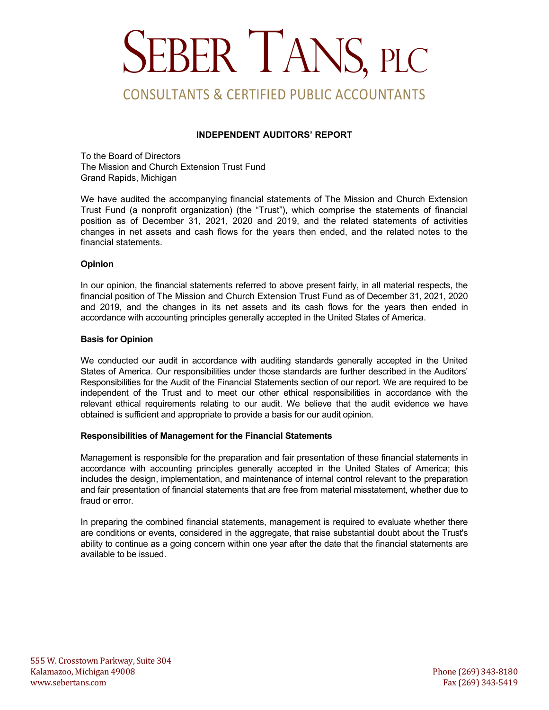# SEBER TANS, PLC CONSULTANTS & CERTIFIED PUBLIC ACCOUNTANTS

## **INDEPENDENT AUDITORS' REPORT**

To the Board of Directors The Mission and Church Extension Trust Fund Grand Rapids, Michigan

We have audited the accompanying financial statements of The Mission and Church Extension Trust Fund (a nonprofit organization) (the "Trust"), which comprise the statements of financial position as of December 31, 2021, 2020 and 2019, and the related statements of activities changes in net assets and cash flows for the years then ended, and the related notes to the financial statements.

#### **Opinion**

In our opinion, the financial statements referred to above present fairly, in all material respects, the financial position of The Mission and Church Extension Trust Fund as of December 31, 2021, 2020 and 2019, and the changes in its net assets and its cash flows for the years then ended in accordance with accounting principles generally accepted in the United States of America.

#### **Basis for Opinion**

We conducted our audit in accordance with auditing standards generally accepted in the United States of America. Our responsibilities under those standards are further described in the Auditors' Responsibilities for the Audit of the Financial Statements section of our report. We are required to be independent of the Trust and to meet our other ethical responsibilities in accordance with the relevant ethical requirements relating to our audit. We believe that the audit evidence we have obtained is sufficient and appropriate to provide a basis for our audit opinion.

#### **Responsibilities of Management for the Financial Statements**

Management is responsible for the preparation and fair presentation of these financial statements in accordance with accounting principles generally accepted in the United States of America; this includes the design, implementation, and maintenance of internal control relevant to the preparation and fair presentation of financial statements that are free from material misstatement, whether due to fraud or error.

In preparing the combined financial statements, management is required to evaluate whether there are conditions or events, considered in the aggregate, that raise substantial doubt about the Trust's ability to continue as a going concern within one year after the date that the financial statements are available to be issued.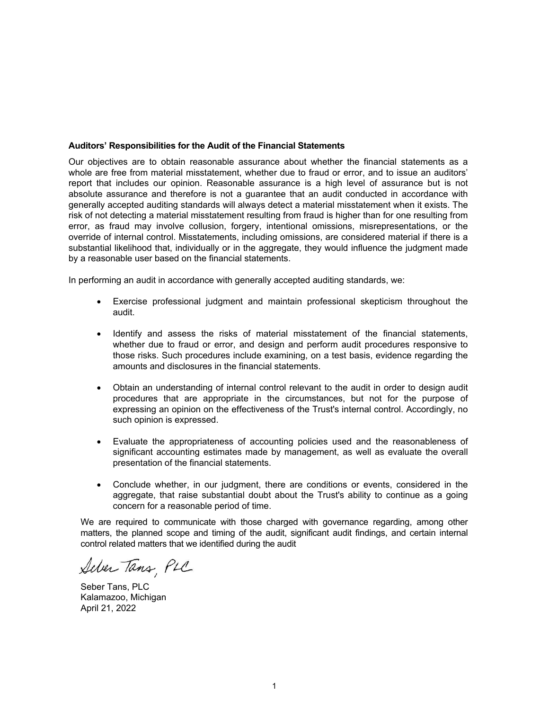#### **Auditors' Responsibilities for the Audit of the Financial Statements**

Our objectives are to obtain reasonable assurance about whether the financial statements as a whole are free from material misstatement, whether due to fraud or error, and to issue an auditors' report that includes our opinion. Reasonable assurance is a high level of assurance but is not absolute assurance and therefore is not a guarantee that an audit conducted in accordance with generally accepted auditing standards will always detect a material misstatement when it exists. The risk of not detecting a material misstatement resulting from fraud is higher than for one resulting from error, as fraud may involve collusion, forgery, intentional omissions, misrepresentations, or the override of internal control. Misstatements, including omissions, are considered material if there is a substantial likelihood that, individually or in the aggregate, they would influence the judgment made by a reasonable user based on the financial statements.

In performing an audit in accordance with generally accepted auditing standards, we:

- Exercise professional judgment and maintain professional skepticism throughout the audit.
- Identify and assess the risks of material misstatement of the financial statements, whether due to fraud or error, and design and perform audit procedures responsive to those risks. Such procedures include examining, on a test basis, evidence regarding the amounts and disclosures in the financial statements.
- Obtain an understanding of internal control relevant to the audit in order to design audit procedures that are appropriate in the circumstances, but not for the purpose of expressing an opinion on the effectiveness of the Trust's internal control. Accordingly, no such opinion is expressed.
- Evaluate the appropriateness of accounting policies used and the reasonableness of significant accounting estimates made by management, as well as evaluate the overall presentation of the financial statements.
- Conclude whether, in our judgment, there are conditions or events, considered in the aggregate, that raise substantial doubt about the Trust's ability to continue as a going concern for a reasonable period of time.

We are required to communicate with those charged with governance regarding, among other matters, the planned scope and timing of the audit, significant audit findings, and certain internal control related matters that we identified during the audit

Selver Tans PLC

Seber Tans, PLC Kalamazoo, Michigan April 21, 2022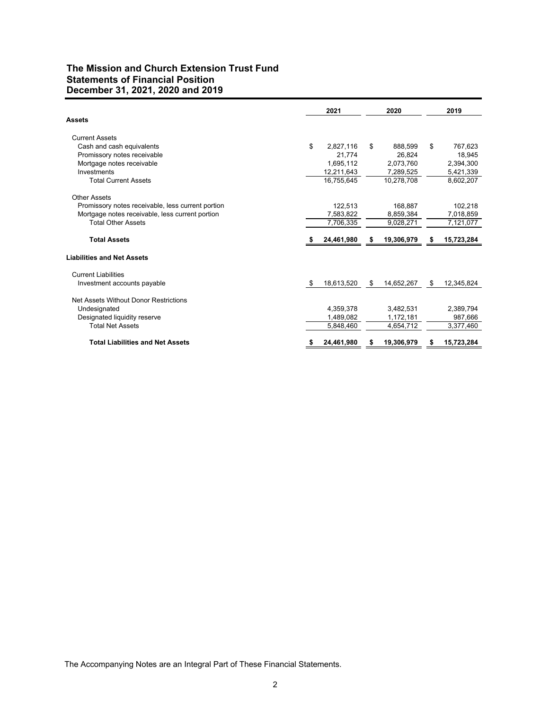# **The Mission and Church Extension Trust Fund Statements of Financial Position December 31, 2021, 2020 and 2019**

|                                                   |    | 2021       | 2020             |    | 2019       |
|---------------------------------------------------|----|------------|------------------|----|------------|
| <b>Assets</b>                                     |    |            |                  |    |            |
| <b>Current Assets</b>                             |    |            |                  |    |            |
| Cash and cash equivalents                         | \$ | 2,827,116  | \$<br>888,599    | \$ | 767,623    |
| Promissory notes receivable                       |    | 21.774     | 26.824           |    | 18.945     |
| Mortgage notes receivable                         |    | 1,695,112  | 2,073,760        |    | 2,394,300  |
| Investments                                       |    | 12,211,643 | 7,289,525        |    | 5,421,339  |
| <b>Total Current Assets</b>                       |    | 16.755.645 | 10,278,708       |    | 8.602.207  |
| <b>Other Assets</b>                               |    |            |                  |    |            |
| Promissory notes receivable, less current portion |    | 122.513    | 168.887          |    | 102.218    |
| Mortgage notes receivable, less current portion   |    | 7,583,822  | 8,859,384        |    | 7,018,859  |
| <b>Total Other Assets</b>                         |    | 7,706,335  | 9,028,271        |    | 7,121,077  |
| <b>Total Assets</b>                               |    | 24,461,980 | 19,306,979       |    | 15,723,284 |
| <b>Liabilities and Net Assets</b>                 |    |            |                  |    |            |
| <b>Current Liabilities</b>                        |    |            |                  |    |            |
| Investment accounts payable                       | S  | 18,613,520 | \$<br>14,652,267 | S  | 12,345,824 |
| Net Assets Without Donor Restrictions             |    |            |                  |    |            |
| Undesignated                                      |    | 4,359,378  | 3,482,531        |    | 2,389,794  |
| Designated liquidity reserve                      |    | 1,489,082  | 1,172,181        |    | 987,666    |
| <b>Total Net Assets</b>                           |    | 5,848,460  | 4,654,712        |    | 3,377,460  |
| <b>Total Liabilities and Net Assets</b>           |    | 24,461,980 | 19,306,979       |    | 15,723,284 |

The Accompanying Notes are an Integral Part of These Financial Statements.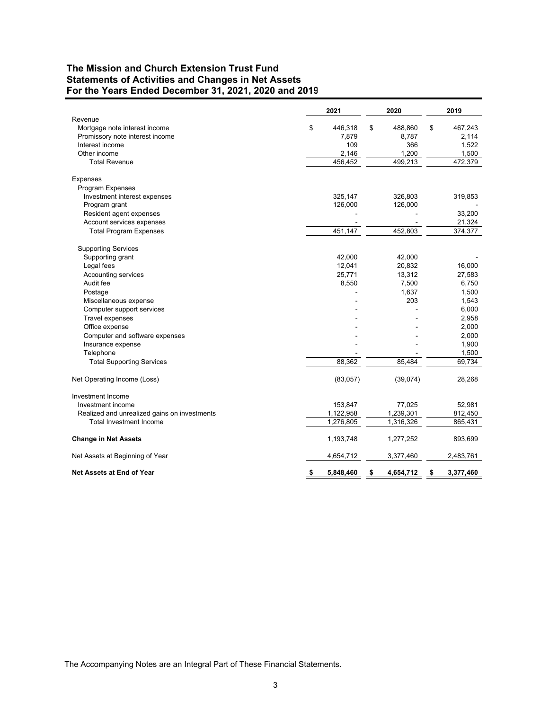# **Statements of Activities and Changes in Net Assets The Mission and Church Extension Trust Fund For the Years Ended December 31, 2021, 2020 and 2019**

|                                              | 2021            | 2020            | 2019            |
|----------------------------------------------|-----------------|-----------------|-----------------|
| Revenue                                      |                 |                 |                 |
| Mortgage note interest income                | \$<br>446,318   | \$<br>488,860   | \$<br>467,243   |
| Promissory note interest income              | 7,879           | 8,787           | 2,114           |
| Interest income                              | 109             | 366             | 1,522           |
| Other income                                 | 2,146           | 1,200           | 1,500           |
| <b>Total Revenue</b>                         | 456,452         | 499,213         | 472,379         |
| <b>Expenses</b>                              |                 |                 |                 |
| Program Expenses                             |                 |                 |                 |
| Investment interest expenses                 | 325,147         | 326,803         | 319,853         |
| Program grant                                | 126,000         | 126,000         |                 |
| Resident agent expenses                      |                 |                 | 33,200          |
| Account services expenses                    |                 |                 | 21,324          |
| <b>Total Program Expenses</b>                | 451,147         | 452,803         | 374,377         |
| <b>Supporting Services</b>                   |                 |                 |                 |
| Supporting grant                             | 42,000          | 42,000          |                 |
| Legal fees                                   | 12,041          | 20,832          | 16,000          |
| <b>Accounting services</b>                   | 25,771          | 13,312          | 27,583          |
| Audit fee                                    | 8,550           | 7,500           | 6,750           |
| Postage                                      |                 | 1,637           | 1,500           |
| Miscellaneous expense                        |                 | 203             | 1,543           |
| Computer support services                    |                 |                 | 6,000           |
| Travel expenses                              |                 |                 | 2,958           |
| Office expense                               |                 |                 | 2,000           |
| Computer and software expenses               |                 |                 | 2,000           |
| Insurance expense                            |                 |                 | 1,900           |
| Telephone                                    |                 |                 | 1,500           |
| <b>Total Supporting Services</b>             | 88,362          | 85,484          | 69,734          |
| Net Operating Income (Loss)                  | (83,057)        | (39,074)        | 28,268          |
| Investment Income                            |                 |                 |                 |
| Investment income                            | 153,847         | 77,025          | 52,981          |
| Realized and unrealized gains on investments | 1,122,958       | 1,239,301       | 812,450         |
| <b>Total Investment Income</b>               | 1,276,805       | 1,316,326       | 865,431         |
| <b>Change in Net Assets</b>                  | 1,193,748       | 1,277,252       | 893,699         |
| Net Assets at Beginning of Year              | 4,654,712       | 3,377,460       | 2,483,761       |
| Net Assets at End of Year                    | \$<br>5,848,460 | \$<br>4,654,712 | \$<br>3,377,460 |

The Accompanying Notes are an Integral Part of These Financial Statements.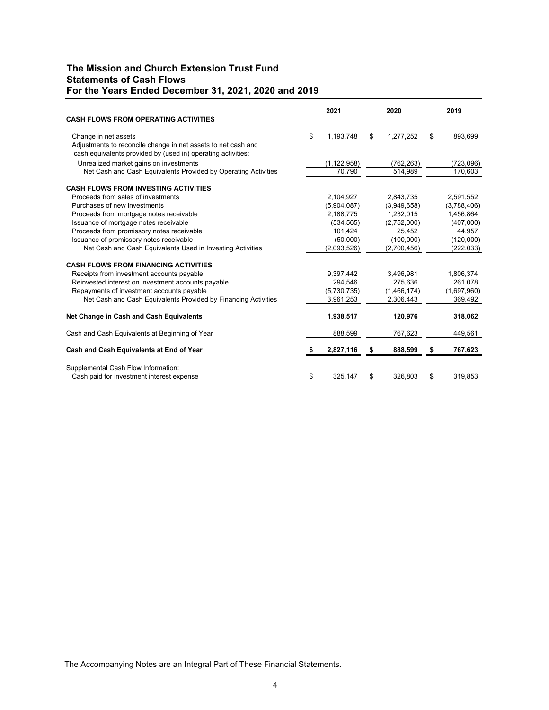# **The Mission and Church Extension Trust Fund Statements of Cash Flows For the Years Ended December 31, 2021, 2020 and 2019**

|                                                                                                                                                       | 2021            | 2020            |    | 2019        |
|-------------------------------------------------------------------------------------------------------------------------------------------------------|-----------------|-----------------|----|-------------|
| <b>CASH FLOWS FROM OPERATING ACTIVITIES</b>                                                                                                           |                 |                 |    |             |
| Change in net assets<br>Adjustments to reconcile change in net assets to net cash and<br>cash equivalents provided by (used in) operating activities: | \$<br>1,193,748 | \$<br>1.277.252 | \$ | 893,699     |
| Unrealized market gains on investments                                                                                                                | (1, 122, 958)   | (762, 263)      |    | (723,096)   |
| Net Cash and Cash Equivalents Provided by Operating Activities                                                                                        | 70.790          | 514.989         |    | 170,603     |
| <b>CASH FLOWS FROM INVESTING ACTIVITIES</b>                                                                                                           |                 |                 |    |             |
| Proceeds from sales of investments                                                                                                                    | 2,104,927       | 2,843,735       |    | 2,591,552   |
| Purchases of new investments                                                                                                                          | (5,904,087)     | (3,949,658)     |    | (3,788,406) |
| Proceeds from mortgage notes receivable                                                                                                               | 2,188,775       | 1,232,015       |    | 1,456,864   |
| Issuance of mortgage notes receivable                                                                                                                 | (534, 565)      | (2,752,000)     |    | (407,000)   |
| Proceeds from promissory notes receivable                                                                                                             | 101,424         | 25,452          |    | 44,957      |
| Issuance of promissory notes receivable                                                                                                               | (50,000)        | (100,000)       |    | (120,000)   |
| Net Cash and Cash Equivalents Used in Investing Activities                                                                                            | (2,093,526)     | (2,700,456)     |    | (222, 033)  |
| <b>CASH FLOWS FROM FINANCING ACTIVITIES</b>                                                                                                           |                 |                 |    |             |
| Receipts from investment accounts payable                                                                                                             | 9,397,442       | 3,496,981       |    | 1,806,374   |
| Reinvested interest on investment accounts payable                                                                                                    | 294.546         | 275.636         |    | 261,078     |
| Repayments of investment accounts payable                                                                                                             | (5,730,735)     | (1,466,174)     |    | (1,697,960) |
| Net Cash and Cash Equivalents Provided by Financing Activities                                                                                        | 3,961,253       | 2,306,443       |    | 369,492     |
| Net Change in Cash and Cash Equivalents                                                                                                               | 1,938,517       | 120,976         |    | 318,062     |
| Cash and Cash Equivalents at Beginning of Year                                                                                                        | 888,599         | 767,623         |    | 449,561     |
| Cash and Cash Equivalents at End of Year                                                                                                              | 2,827,116       | 888,599         | S  | 767,623     |
| Supplemental Cash Flow Information:                                                                                                                   |                 |                 |    |             |
| Cash paid for investment interest expense                                                                                                             | \$<br>325,147   | \$<br>326,803   | S  | 319,853     |

The Accompanying Notes are an Integral Part of These Financial Statements.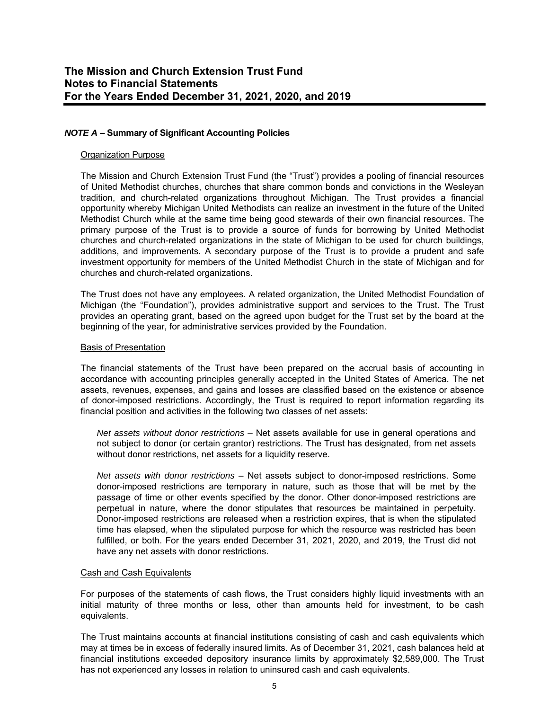#### *NOTE A* **– Summary of Significant Accounting Policies**

#### Organization Purpose

The Mission and Church Extension Trust Fund (the "Trust") provides a pooling of financial resources of United Methodist churches, churches that share common bonds and convictions in the Wesleyan tradition, and church-related organizations throughout Michigan. The Trust provides a financial opportunity whereby Michigan United Methodists can realize an investment in the future of the United Methodist Church while at the same time being good stewards of their own financial resources. The primary purpose of the Trust is to provide a source of funds for borrowing by United Methodist churches and church-related organizations in the state of Michigan to be used for church buildings, additions, and improvements. A secondary purpose of the Trust is to provide a prudent and safe investment opportunity for members of the United Methodist Church in the state of Michigan and for churches and church-related organizations.

The Trust does not have any employees. A related organization, the United Methodist Foundation of Michigan (the "Foundation"), provides administrative support and services to the Trust. The Trust provides an operating grant, based on the agreed upon budget for the Trust set by the board at the beginning of the year, for administrative services provided by the Foundation.

#### Basis of Presentation

The financial statements of the Trust have been prepared on the accrual basis of accounting in accordance with accounting principles generally accepted in the United States of America. The net assets, revenues, expenses, and gains and losses are classified based on the existence or absence of donor-imposed restrictions. Accordingly, the Trust is required to report information regarding its financial position and activities in the following two classes of net assets:

*Net assets without donor restrictions* – Net assets available for use in general operations and not subject to donor (or certain grantor) restrictions. The Trust has designated, from net assets without donor restrictions, net assets for a liquidity reserve.

*Net assets with donor restrictions* – Net assets subject to donor-imposed restrictions. Some donor-imposed restrictions are temporary in nature, such as those that will be met by the passage of time or other events specified by the donor. Other donor-imposed restrictions are perpetual in nature, where the donor stipulates that resources be maintained in perpetuity. Donor-imposed restrictions are released when a restriction expires, that is when the stipulated time has elapsed, when the stipulated purpose for which the resource was restricted has been fulfilled, or both. For the years ended December 31, 2021, 2020, and 2019, the Trust did not have any net assets with donor restrictions.

#### Cash and Cash Equivalents

For purposes of the statements of cash flows, the Trust considers highly liquid investments with an initial maturity of three months or less, other than amounts held for investment, to be cash equivalents.

The Trust maintains accounts at financial institutions consisting of cash and cash equivalents which may at times be in excess of federally insured limits. As of December 31, 2021, cash balances held at financial institutions exceeded depository insurance limits by approximately \$2,589,000. The Trust has not experienced any losses in relation to uninsured cash and cash equivalents.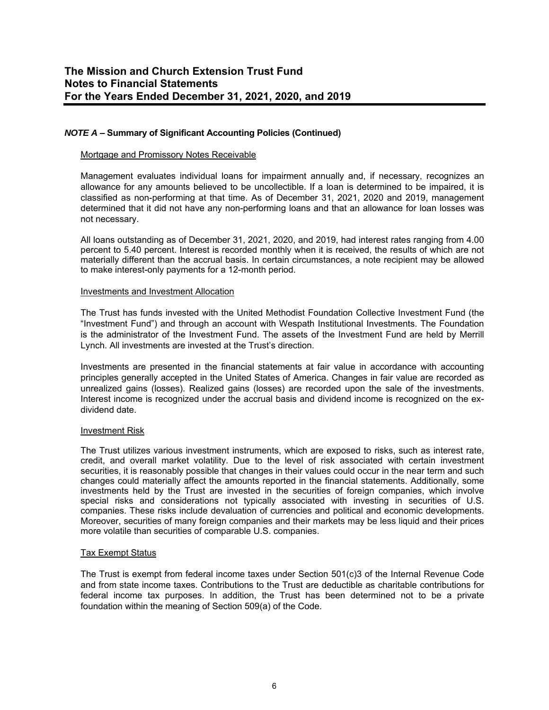### *NOTE A* **– Summary of Significant Accounting Policies (Continued)**

#### Mortgage and Promissory Notes Receivable

Management evaluates individual loans for impairment annually and, if necessary, recognizes an allowance for any amounts believed to be uncollectible. If a loan is determined to be impaired, it is classified as non-performing at that time. As of December 31, 2021, 2020 and 2019, management determined that it did not have any non-performing loans and that an allowance for loan losses was not necessary.

All loans outstanding as of December 31, 2021, 2020, and 2019, had interest rates ranging from 4.00 percent to 5.40 percent. Interest is recorded monthly when it is received, the results of which are not materially different than the accrual basis. In certain circumstances, a note recipient may be allowed to make interest-only payments for a 12-month period.

#### Investments and Investment Allocation

The Trust has funds invested with the United Methodist Foundation Collective Investment Fund (the "Investment Fund") and through an account with Wespath Institutional Investments. The Foundation is the administrator of the Investment Fund. The assets of the Investment Fund are held by Merrill Lynch. All investments are invested at the Trust's direction.

Investments are presented in the financial statements at fair value in accordance with accounting principles generally accepted in the United States of America. Changes in fair value are recorded as unrealized gains (losses). Realized gains (losses) are recorded upon the sale of the investments. Interest income is recognized under the accrual basis and dividend income is recognized on the exdividend date.

#### Investment Risk

The Trust utilizes various investment instruments, which are exposed to risks, such as interest rate, credit, and overall market volatility. Due to the level of risk associated with certain investment securities, it is reasonably possible that changes in their values could occur in the near term and such changes could materially affect the amounts reported in the financial statements. Additionally, some investments held by the Trust are invested in the securities of foreign companies, which involve special risks and considerations not typically associated with investing in securities of U.S. companies. These risks include devaluation of currencies and political and economic developments. Moreover, securities of many foreign companies and their markets may be less liquid and their prices more volatile than securities of comparable U.S. companies.

#### Tax Exempt Status

The Trust is exempt from federal income taxes under Section 501(c)3 of the Internal Revenue Code and from state income taxes. Contributions to the Trust are deductible as charitable contributions for federal income tax purposes. In addition, the Trust has been determined not to be a private foundation within the meaning of Section 509(a) of the Code.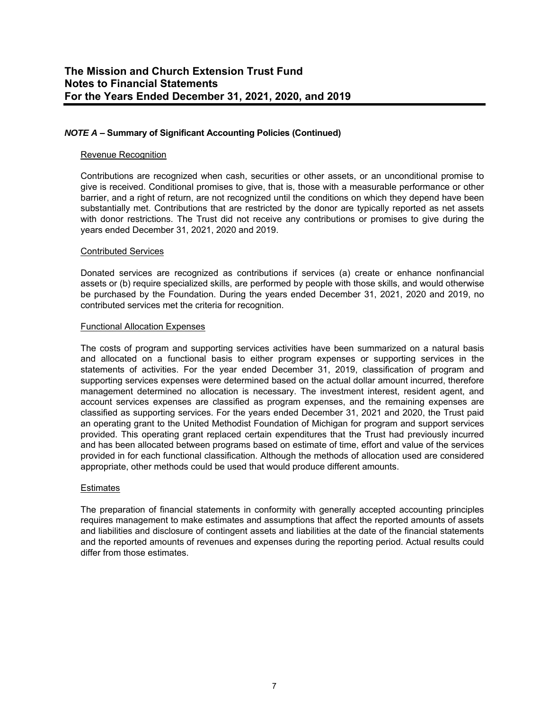#### *NOTE A* **– Summary of Significant Accounting Policies (Continued)**

#### Revenue Recognition

Contributions are recognized when cash, securities or other assets, or an unconditional promise to give is received. Conditional promises to give, that is, those with a measurable performance or other barrier, and a right of return, are not recognized until the conditions on which they depend have been substantially met. Contributions that are restricted by the donor are typically reported as net assets with donor restrictions. The Trust did not receive any contributions or promises to give during the years ended December 31, 2021, 2020 and 2019.

#### Contributed Services

Donated services are recognized as contributions if services (a) create or enhance nonfinancial assets or (b) require specialized skills, are performed by people with those skills, and would otherwise be purchased by the Foundation. During the years ended December 31, 2021, 2020 and 2019, no contributed services met the criteria for recognition.

#### Functional Allocation Expenses

The costs of program and supporting services activities have been summarized on a natural basis and allocated on a functional basis to either program expenses or supporting services in the statements of activities. For the year ended December 31, 2019, classification of program and supporting services expenses were determined based on the actual dollar amount incurred, therefore management determined no allocation is necessary. The investment interest, resident agent, and account services expenses are classified as program expenses, and the remaining expenses are classified as supporting services. For the years ended December 31, 2021 and 2020, the Trust paid an operating grant to the United Methodist Foundation of Michigan for program and support services provided. This operating grant replaced certain expenditures that the Trust had previously incurred and has been allocated between programs based on estimate of time, effort and value of the services provided in for each functional classification. Although the methods of allocation used are considered appropriate, other methods could be used that would produce different amounts.

#### Estimates

The preparation of financial statements in conformity with generally accepted accounting principles requires management to make estimates and assumptions that affect the reported amounts of assets and liabilities and disclosure of contingent assets and liabilities at the date of the financial statements and the reported amounts of revenues and expenses during the reporting period. Actual results could differ from those estimates.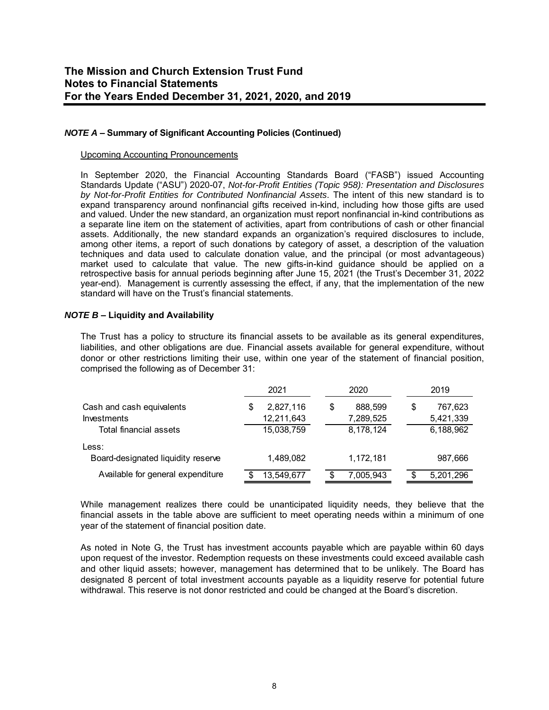#### *NOTE A* **– Summary of Significant Accounting Policies (Continued)**

#### Upcoming Accounting Pronouncements

In September 2020, the Financial Accounting Standards Board ("FASB") issued Accounting Standards Update ("ASU") 2020-07, *Not-for-Profit Entities (Topic 958): Presentation and Disclosures by Not-for-Profit Entities for Contributed Nonfinancial Assets*. The intent of this new standard is to expand transparency around nonfinancial gifts received in-kind, including how those gifts are used and valued. Under the new standard, an organization must report nonfinancial in-kind contributions as a separate line item on the statement of activities, apart from contributions of cash or other financial assets. Additionally, the new standard expands an organization's required disclosures to include, among other items, a report of such donations by category of asset, a description of the valuation techniques and data used to calculate donation value, and the principal (or most advantageous) market used to calculate that value. The new gifts-in-kind guidance should be applied on a retrospective basis for annual periods beginning after June 15, 2021 (the Trust's December 31, 2022 year-end). Management is currently assessing the effect, if any, that the implementation of the new standard will have on the Trust's financial statements.

#### *NOTE B* **– Liquidity and Availability**

The Trust has a policy to structure its financial assets to be available as its general expenditures, liabilities, and other obligations are due. Financial assets available for general expenditure, without donor or other restrictions limiting their use, within one year of the statement of financial position, comprised the following as of December 31:

|                                    | 2021            | 2020         | 2019          |
|------------------------------------|-----------------|--------------|---------------|
| Cash and cash equivalents          | 2,827,116<br>\$ | 888.599<br>S | 767,623<br>\$ |
| Investments                        | 12,211,643      | 7,289,525    | 5,421,339     |
| Total financial assets             | 15,038,759      | 8,178,124    | 6,188,962     |
| Less:                              |                 |              |               |
| Board-designated liquidity reserve | 1,489,082       | 1,172,181    | 987,666       |
| Available for general expenditure  | 13,549,677      | 7,005,943    | 5,201,296     |

While management realizes there could be unanticipated liquidity needs, they believe that the financial assets in the table above are sufficient to meet operating needs within a minimum of one year of the statement of financial position date.

As noted in Note G, the Trust has investment accounts payable which are payable within 60 days upon request of the investor. Redemption requests on these investments could exceed available cash and other liquid assets; however, management has determined that to be unlikely. The Board has designated 8 percent of total investment accounts payable as a liquidity reserve for potential future withdrawal. This reserve is not donor restricted and could be changed at the Board's discretion.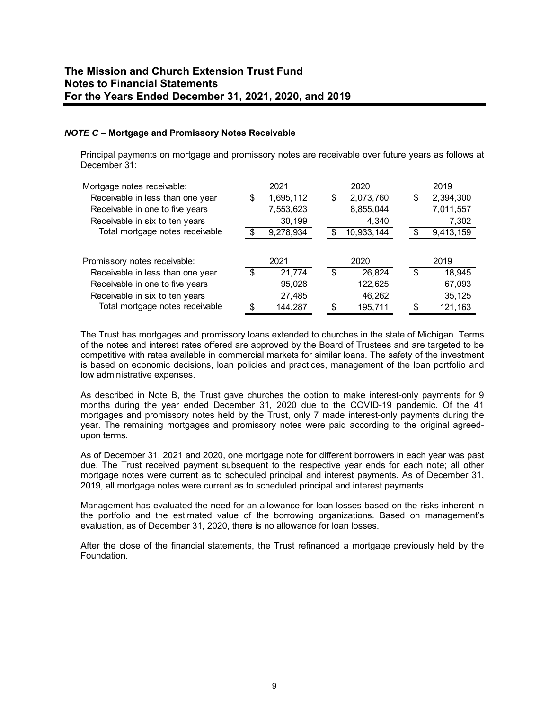#### *NOTE C* **– Mortgage and Promissory Notes Receivable**

Principal payments on mortgage and promissory notes are receivable over future years as follows at December 31:

| Mortgage notes receivable:       |     | 2021      | 2020             |     | 2019      |
|----------------------------------|-----|-----------|------------------|-----|-----------|
| Receivable in less than one year | S   | 1,695,112 | \$<br>2,073,760  | \$. | 2,394,300 |
| Receivable in one to five years  |     | 7,553,623 | 8,855,044        |     | 7,011,557 |
| Receivable in six to ten years   |     | 30,199    | 4,340            |     | 7,302     |
| Total mortgage notes receivable  | \$. | 9,278,934 | \$<br>10,933,144 | \$  | 9,413,159 |
| Promissory notes receivable:     |     | 2021      | 2020             |     | 2019      |
| Receivable in less than one year | \$  | 21,774    | \$<br>26,824     | \$  | 18,945    |
| Receivable in one to five years  |     | 95,028    | 122,625          |     | 67,093    |
| Receivable in six to ten years   |     | 27,485    | 46,262           |     | 35,125    |
| Total mortgage notes receivable  | ß.  | 144,287   | \$<br>195,711    |     | 121,163   |

The Trust has mortgages and promissory loans extended to churches in the state of Michigan. Terms of the notes and interest rates offered are approved by the Board of Trustees and are targeted to be competitive with rates available in commercial markets for similar loans. The safety of the investment is based on economic decisions, loan policies and practices, management of the loan portfolio and low administrative expenses.

As described in Note B, the Trust gave churches the option to make interest-only payments for 9 months during the year ended December 31, 2020 due to the COVID-19 pandemic. Of the 41 mortgages and promissory notes held by the Trust, only 7 made interest-only payments during the year. The remaining mortgages and promissory notes were paid according to the original agreedupon terms.

As of December 31, 2021 and 2020, one mortgage note for different borrowers in each year was past due. The Trust received payment subsequent to the respective year ends for each note; all other mortgage notes were current as to scheduled principal and interest payments. As of December 31, 2019, all mortgage notes were current as to scheduled principal and interest payments.

Management has evaluated the need for an allowance for loan losses based on the risks inherent in the portfolio and the estimated value of the borrowing organizations. Based on management's evaluation, as of December 31, 2020, there is no allowance for loan losses.

After the close of the financial statements, the Trust refinanced a mortgage previously held by the Foundation.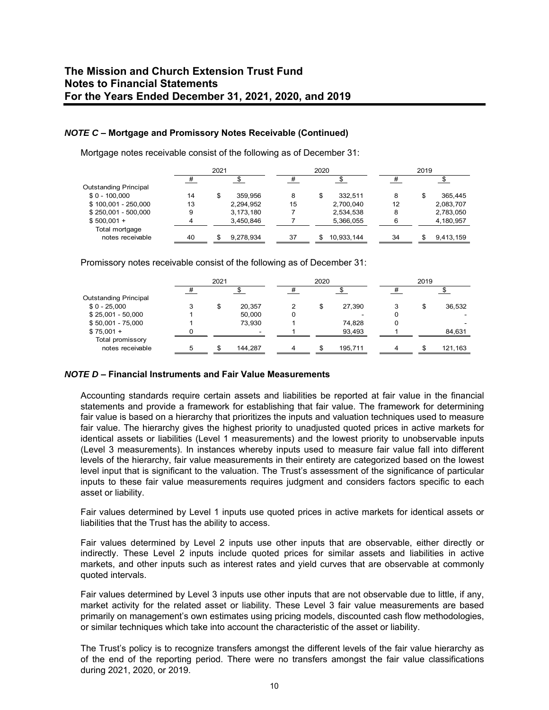#### *NOTE C* **– Mortgage and Promissory Notes Receivable (Continued)**

Mortgage notes receivable consist of the following as of December 31:

|                              |    | 2021 |           | 2020 |    |            |    |                 |  | 2019 |  |  |
|------------------------------|----|------|-----------|------|----|------------|----|-----------------|--|------|--|--|
|                              |    |      |           | #    |    |            | #  |                 |  |      |  |  |
| <b>Outstanding Principal</b> |    |      |           |      |    |            |    |                 |  |      |  |  |
| $$0 - 100.000$               | 14 | \$   | 359.956   | 8    | \$ | 332.511    | 8  | \$<br>365.445   |  |      |  |  |
| $$100,001 - 250,000$         | 13 |      | 2,294,952 | 15   |    | 2,700,040  | 12 | 2,083,707       |  |      |  |  |
| $$250,001 - 500,000$         | 9  |      | 3,173,180 |      |    | 2,534,538  | 8  | 2,783,050       |  |      |  |  |
| $$500,001 +$                 |    |      | 3.450.846 |      |    | 5.366.055  |    | 4,180,957       |  |      |  |  |
| Total mortgage               |    |      |           |      |    |            |    |                 |  |      |  |  |
| notes receivable             | 40 | \$   | 9.278.934 | 37   |    | 10.933.144 | 34 | \$<br>9.413.159 |  |      |  |  |

Promissory notes receivable consist of the following as of December 31:

|                              |   | 2021 |         |                | 2020 |         | 2019 |    |         |  |
|------------------------------|---|------|---------|----------------|------|---------|------|----|---------|--|
|                              |   |      |         | #              |      |         |      |    |         |  |
| <b>Outstanding Principal</b> |   |      |         |                |      |         |      |    |         |  |
| $$0 - 25,000$                |   | \$   | 20,357  | $\overline{2}$ | S    | 27,390  | 3    | \$ | 36,532  |  |
| $$25,001 - 50,000$           |   |      | 50,000  | 0              |      |         | 0    |    |         |  |
| $$50,001 - 75,000$           |   |      | 73.930  |                |      | 74.828  | 0    |    |         |  |
| $$75,001 +$                  |   |      |         |                |      | 93.493  |      |    | 84,631  |  |
| Total promissory             |   |      |         |                |      |         |      |    |         |  |
| notes receivable             | 5 |      | 144.287 | 4              |      | 195.711 | 4    |    | 121,163 |  |

#### *NOTE D* **– Financial Instruments and Fair Value Measurements**

Accounting standards require certain assets and liabilities be reported at fair value in the financial statements and provide a framework for establishing that fair value. The framework for determining fair value is based on a hierarchy that prioritizes the inputs and valuation techniques used to measure fair value. The hierarchy gives the highest priority to unadjusted quoted prices in active markets for identical assets or liabilities (Level 1 measurements) and the lowest priority to unobservable inputs (Level 3 measurements). In instances whereby inputs used to measure fair value fall into different levels of the hierarchy, fair value measurements in their entirety are categorized based on the lowest level input that is significant to the valuation. The Trust's assessment of the significance of particular inputs to these fair value measurements requires judgment and considers factors specific to each asset or liability.

Fair values determined by Level 1 inputs use quoted prices in active markets for identical assets or liabilities that the Trust has the ability to access.

Fair values determined by Level 2 inputs use other inputs that are observable, either directly or indirectly. These Level 2 inputs include quoted prices for similar assets and liabilities in active markets, and other inputs such as interest rates and yield curves that are observable at commonly quoted intervals.

Fair values determined by Level 3 inputs use other inputs that are not observable due to little, if any, market activity for the related asset or liability. These Level 3 fair value measurements are based primarily on management's own estimates using pricing models, discounted cash flow methodologies, or similar techniques which take into account the characteristic of the asset or liability.

The Trust's policy is to recognize transfers amongst the different levels of the fair value hierarchy as of the end of the reporting period. There were no transfers amongst the fair value classifications during 2021, 2020, or 2019.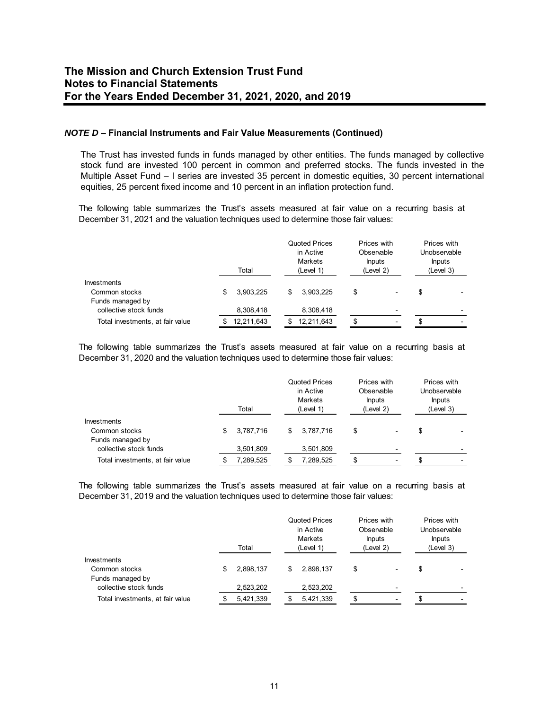#### *NOTE D* **– Financial Instruments and Fair Value Measurements (Continued)**

The Trust has invested funds in funds managed by other entities. The funds managed by collective stock fund are invested 100 percent in common and preferred stocks. The funds invested in the Multiple Asset Fund – I series are invested 35 percent in domestic equities, 30 percent international equities, 25 percent fixed income and 10 percent in an inflation protection fund.

The following table summarizes the Trust's assets measured at fair value on a recurring basis at December 31, 2021 and the valuation techniques used to determine those fair values:

|                                  |   | Total      | Quoted Prices<br>in Active<br><b>Markets</b><br>(Level 1) |            | Prices with<br>Observable<br>Inputs<br>(Level 2) |  | Prices with<br>Unobservable<br>Inputs<br>(Level 3) |  |
|----------------------------------|---|------------|-----------------------------------------------------------|------------|--------------------------------------------------|--|----------------------------------------------------|--|
| Investments                      |   |            |                                                           |            |                                                  |  |                                                    |  |
| Common stocks                    | S | 3,903,225  | \$                                                        | 3.903.225  | \$                                               |  | \$                                                 |  |
| Funds managed by                 |   |            |                                                           |            |                                                  |  |                                                    |  |
| collective stock funds           |   | 8,308,418  |                                                           | 8,308,418  |                                                  |  |                                                    |  |
| Total investments, at fair value |   | 12,211,643 |                                                           | 12,211,643 |                                                  |  |                                                    |  |

The following table summarizes the Trust's assets measured at fair value on a recurring basis at December 31, 2020 and the valuation techniques used to determine those fair values:

| Total                            |    |           | <b>Quoted Prices</b><br>in Active<br>Markets<br>(Level 1) | Prices with<br>Observable<br>Inputs<br>(Level 2) |   | Prices with<br>Unobservable<br>Inputs<br>(Level 3) |  |
|----------------------------------|----|-----------|-----------------------------------------------------------|--------------------------------------------------|---|----------------------------------------------------|--|
| Investments                      |    |           |                                                           |                                                  |   |                                                    |  |
| Common stocks                    | \$ | 3,787,716 | \$<br>3,787,716                                           | \$                                               |   | \$                                                 |  |
| Funds managed by                 |    |           |                                                           |                                                  |   |                                                    |  |
| collective stock funds           |    | 3,501,809 | 3,501,809                                                 |                                                  |   |                                                    |  |
| Total investments, at fair value |    | 7,289,525 | 7,289,525                                                 | S.                                               | ۰ | £.                                                 |  |

The following table summarizes the Trust's assets measured at fair value on a recurring basis at December 31, 2019 and the valuation techniques used to determine those fair values:

| Total                            |   |           | <b>Quoted Prices</b><br>in Active<br><b>Markets</b><br>(Level 1) |           |   | Prices with<br>Observable<br>Inputs<br>(Level 2) | Prices with<br>Unobservable<br>Inputs<br>(Level 3) |  |
|----------------------------------|---|-----------|------------------------------------------------------------------|-----------|---|--------------------------------------------------|----------------------------------------------------|--|
| Investments                      |   |           |                                                                  |           |   |                                                  |                                                    |  |
| Common stocks                    | S | 2,898,137 | \$                                                               | 2,898,137 | S |                                                  | \$                                                 |  |
| Funds managed by                 |   |           |                                                                  |           |   |                                                  |                                                    |  |
| collective stock funds           |   | 2,523,202 |                                                                  | 2,523,202 |   |                                                  |                                                    |  |
| Total investments, at fair value |   | 5,421,339 |                                                                  | 5,421,339 |   | $\overline{\phantom{0}}$                         | S.                                                 |  |